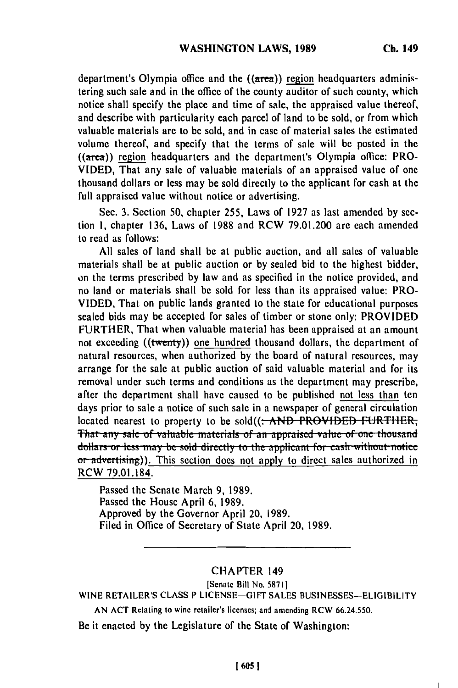department's Olympia office and the **((area)) region** headquarters administering such sale and in the office of the county auditor of such county, which notice shall specify the place and time of sale, the appraised value thereof, and describe with particularity each parcel of land to **be** sold, or from which valuable materials are to be sold, and in case of material sales the estimated volume thereof, and specify that the terms of sale will be posted in the **((area)) region** headquarters and the department's Olympia office: PRO-**VIDED,** That any sale of valuable materials of an appraised value of one thousand dollars or less may be sold directly to the applicant for cash at the full appraised value without notice or advertising.

Sec. **3.** Section **50,** chapter **255,** Laws of **1927** as last amended **by** section **1,** chapter **136,** Laws of **1988** and RCW **79.01.200** are each amended to read as follows:

**All** sales of land shall be at public auction, and all sales of valuable materials shall be at public auction or **by** scaled bid to the highest bidder, on the terms prescribed **by** law and as specified in the notice provided, and no land or materials shall be sold for less than its appraised value: PRO-**VIDED,** That on public lands granted to the state for educational purposes sealed bids may be accepted for sales of timber or stone only: PROVIDED FURTHER, That when valuable material has been appraised at an amount not exceeding ((twenty)) one hundred thousand dollars, the department of natural resources, when authorized **by** the board of natural resources, may arrange for the sale at public auction of said valuable material and for its removal under such terms and conditions as the department may prescribe, after the department shall have caused to be published not less than ten days prior to sale a notice of such sale in a newspaper of general circulation located nearest to property to be sold((: AND PROVIDED FURTHER, That any sale of valuable materials of an appraised value of one thousand dollars or less may be sold directly to the applicant for cash without notice or advertising)). This section does not apply to direct sales authorized in RCW **79.01.184.**

Passed the Senate March **9, 1989.** Passed the House April **6, 1989.** Approved **by** the Governor April 20, **1989.** Filed in Office of Secretary of State April 20, **1989.**

## **CHAPTER 149**

## lSenate Bill No. **58711**

**WINE RETAILER'S CLASS P** LICENSE-GIFT **SALES BUSINESSES-ELIGIBILITY**

**AN ACT** Relating to wine retailer's licenses; and amending **RCW 66.24.550.**

Be it enacted **by** the Legislature of the State of Washington: